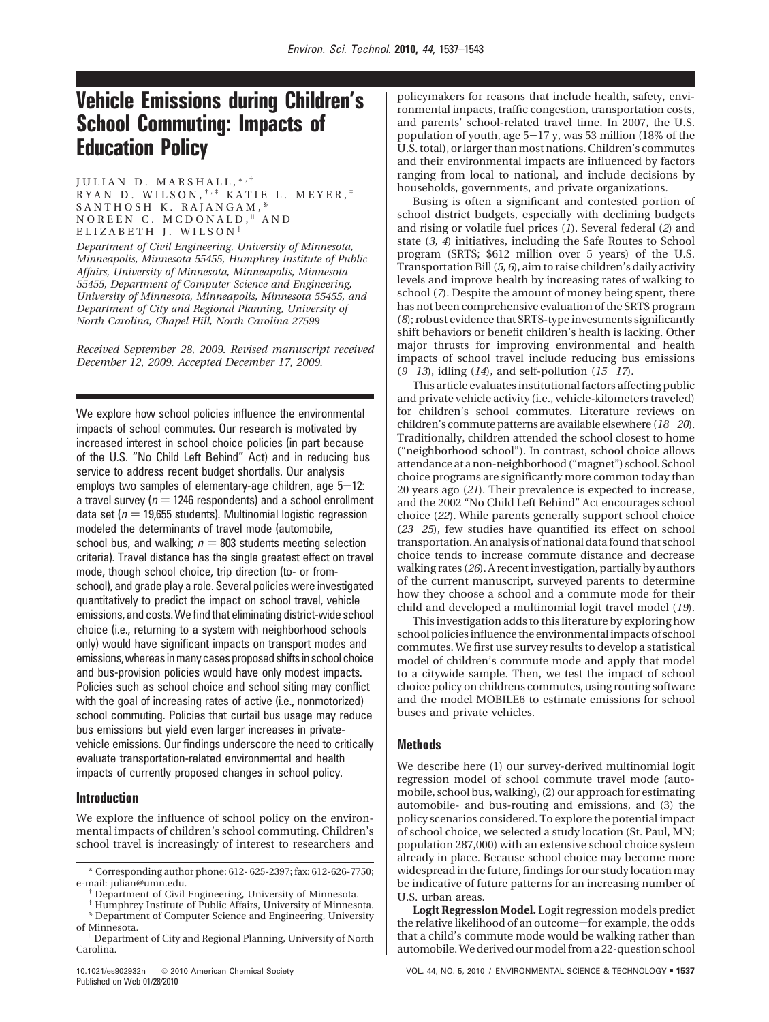# **Vehicle Emissions during Children's School Commuting: Impacts of Education Policy**

JULIAN D. MARSHALL, \*\*\* RYAN D. WILSON, †,‡ KATIE L. MEYER, ‡ SANTHOSH K. RAJANGAM, § NOREEN C. MCDONALD, <sup>|</sup> AND ELIZABETH J. WILSON ‡

*Department of Civil Engineering, University of Minnesota, Minneapolis, Minnesota 55455, Humphrey Institute of Public Affairs, University of Minnesota, Minneapolis, Minnesota 55455, Department of Computer Science and Engineering, University of Minnesota, Minneapolis, Minnesota 55455, and Department of City and Regional Planning, University of North Carolina, Chapel Hill, North Carolina 27599*

*Received September 28, 2009. Revised manuscript received December 12, 2009. Accepted December 17, 2009.*

We explore how school policies influence the environmental impacts of school commutes. Our research is motivated by increased interest in school choice policies (in part because of the U.S. "No Child Left Behind" Act) and in reducing bus service to address recent budget shortfalls. Our analysis employs two samples of elementary-age children, age  $5-12$ : a travel survey ( $n = 1246$  respondents) and a school enrollment data set ( $n = 19,655$  students). Multinomial logistic regression modeled the determinants of travel mode (automobile, school bus, and walking;  $n = 803$  students meeting selection criteria). Travel distance has the single greatest effect on travel mode, though school choice, trip direction (to- or fromschool), and grade play a role. Several policies were investigated quantitatively to predict the impact on school travel, vehicle emissions, and costs. We find that eliminating district-wide school choice (i.e., returning to a system with neighborhood schools only) would have significant impacts on transport modes and emissions, whereas in many cases proposed shifts in school choice and bus-provision policies would have only modest impacts. Policies such as school choice and school siting may conflict with the goal of increasing rates of active (i.e., nonmotorized) school commuting. Policies that curtail bus usage may reduce bus emissions but yield even larger increases in privatevehicle emissions. Our findings underscore the need to critically evaluate transportation-related environmental and health impacts of currently proposed changes in school policy.

# **Introduction**

We explore the influence of school policy on the environmental impacts of children's school commuting. Children's school travel is increasingly of interest to researchers and

policymakers for reasons that include health, safety, environmental impacts, traffic congestion, transportation costs, and parents' school-related travel time. In 2007, the U.S. population of youth, age  $5-17$  y, was 53 million (18% of the U.S. total), or larger than most nations. Children's commutes and their environmental impacts are influenced by factors ranging from local to national, and include decisions by households, governments, and private organizations.

Busing is often a significant and contested portion of school district budgets, especially with declining budgets and rising or volatile fuel prices (*1*). Several federal (*2*) and state (*3, 4*) initiatives, including the Safe Routes to School program (SRTS; \$612 million over 5 years) of the U.S. Transportation Bill (*5, 6*), aim to raise children's daily activity levels and improve health by increasing rates of walking to school (*7*). Despite the amount of money being spent, there has not been comprehensive evaluation of the SRTS program (*8*); robust evidence that SRTS-type investments significantly shift behaviors or benefit children's health is lacking. Other major thrusts for improving environmental and health impacts of school travel include reducing bus emissions (*9*-*13*), idling (*14*), and self-pollution (*15*-*17*).

This article evaluates institutional factors affecting public and private vehicle activity (i.e., vehicle-kilometers traveled) for children's school commutes. Literature reviews on children's commute patterns are available elsewhere (*18*-*20*). Traditionally, children attended the school closest to home ("neighborhood school"). In contrast, school choice allows attendance at a non-neighborhood ("magnet") school. School choice programs are significantly more common today than 20 years ago (*21*). Their prevalence is expected to increase, and the 2002 "No Child Left Behind" Act encourages school choice (*22*). While parents generally support school choice (*23*-*25*), few studies have quantified its effect on school transportation. An analysis of national data found that school choice tends to increase commute distance and decrease walking rates (*26*). A recent investigation, partially by authors of the current manuscript, surveyed parents to determine how they choose a school and a commute mode for their child and developed a multinomial logit travel model (*19*).

This investigation adds to this literature by exploring how school policies influence the environmental impacts of school commutes. We first use survey results to develop a statistical model of children's commute mode and apply that model to a citywide sample. Then, we test the impact of school choice policy on childrens commutes, using routing software and the model MOBILE6 to estimate emissions for school buses and private vehicles.

# **Methods**

We describe here (1) our survey-derived multinomial logit regression model of school commute travel mode (automobile, school bus, walking), (2) our approach for estimating automobile- and bus-routing and emissions, and (3) the policy scenarios considered. To explore the potential impact of school choice, we selected a study location (St. Paul, MN; population 287,000) with an extensive school choice system already in place. Because school choice may become more widespread in the future, findings for our study location may be indicative of future patterns for an increasing number of U.S. urban areas.

**Logit Regression Model.** Logit regression models predict the relative likelihood of an outcome-for example, the odds that a child's commute mode would be walking rather than automobile. We derived our model from a 22-question school

<sup>\*</sup> Corresponding author phone: 612- 625-2397; fax: 612-626-7750;

Department of Civil Engineering, University of Minnesota.

<sup>‡</sup> Humphrey Institute of Public Affairs, University of Minnesota.

<sup>§</sup> Department of Computer Science and Engineering, University

<sup>&</sup>lt;sup>"</sup> Department of City and Regional Planning, University of North Carolina.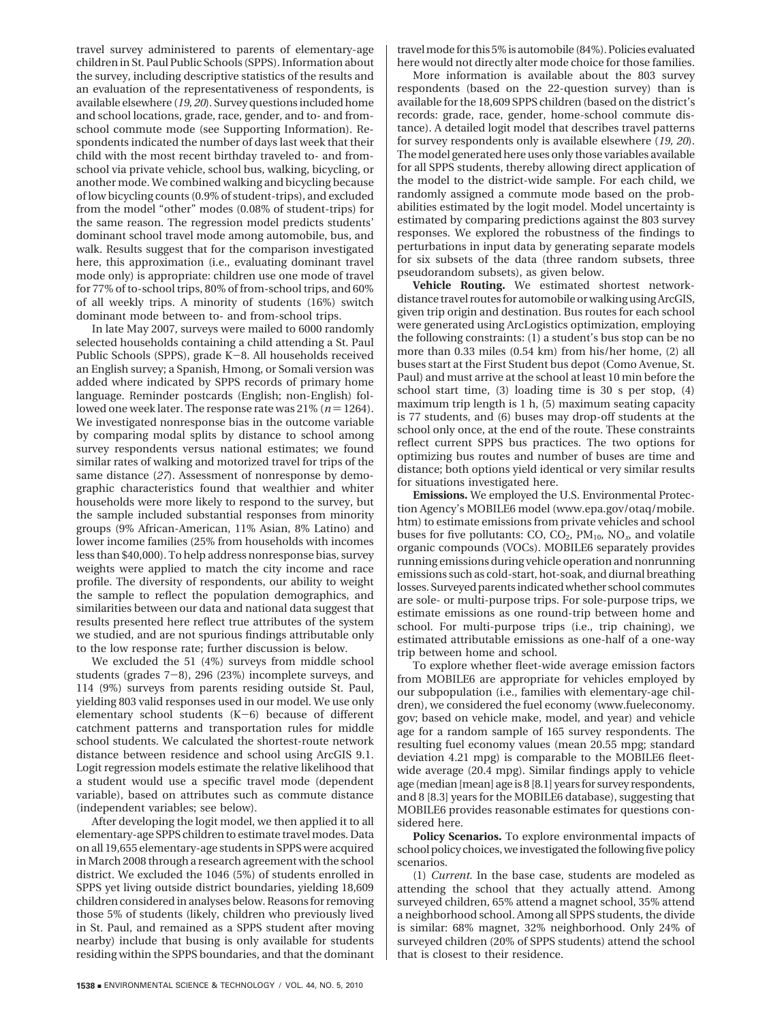travel survey administered to parents of elementary-age children in St. Paul Public Schools (SPPS). Information about the survey, including descriptive statistics of the results and an evaluation of the representativeness of respondents, is available elsewhere (*19, 20*). Survey questions included home and school locations, grade, race, gender, and to- and fromschool commute mode (see Supporting Information). Respondents indicated the number of days last week that their child with the most recent birthday traveled to- and fromschool via private vehicle, school bus, walking, bicycling, or another mode. We combined walking and bicycling because of low bicycling counts (0.9% of student-trips), and excluded from the model "other" modes (0.08% of student-trips) for the same reason. The regression model predicts students' dominant school travel mode among automobile, bus, and walk. Results suggest that for the comparison investigated here, this approximation (i.e., evaluating dominant travel mode only) is appropriate: children use one mode of travel for 77% of to-school trips, 80% of from-school trips, and 60% of all weekly trips. A minority of students (16%) switch dominant mode between to- and from-school trips.

In late May 2007, surveys were mailed to 6000 randomly selected households containing a child attending a St. Paul Public Schools (SPPS), grade K-8. All households received an English survey; a Spanish, Hmong, or Somali version was added where indicated by SPPS records of primary home language. Reminder postcards (English; non-English) followed one week later. The response rate was  $21\%$  ( $n = 1264$ ). We investigated nonresponse bias in the outcome variable by comparing modal splits by distance to school among survey respondents versus national estimates; we found similar rates of walking and motorized travel for trips of the same distance (*27*). Assessment of nonresponse by demographic characteristics found that wealthier and whiter households were more likely to respond to the survey, but the sample included substantial responses from minority groups (9% African-American, 11% Asian, 8% Latino) and lower income families (25% from households with incomes less than \$40,000). To help address nonresponse bias, survey weights were applied to match the city income and race profile. The diversity of respondents, our ability to weight the sample to reflect the population demographics, and similarities between our data and national data suggest that results presented here reflect true attributes of the system we studied, and are not spurious findings attributable only to the low response rate; further discussion is below.

We excluded the 51 (4%) surveys from middle school students (grades 7-8), 296 (23%) incomplete surveys, and 114 (9%) surveys from parents residing outside St. Paul, yielding 803 valid responses used in our model. We use only elementary school students  $(K-6)$  because of different catchment patterns and transportation rules for middle school students. We calculated the shortest-route network distance between residence and school using ArcGIS 9.1. Logit regression models estimate the relative likelihood that a student would use a specific travel mode (dependent variable), based on attributes such as commute distance (independent variables; see below).

After developing the logit model, we then applied it to all elementary-age SPPS children to estimate travel modes. Data on all 19,655 elementary-age students in SPPS were acquired in March 2008 through a research agreement with the school district. We excluded the 1046 (5%) of students enrolled in SPPS yet living outside district boundaries, yielding 18,609 children considered in analyses below. Reasons for removing those 5% of students (likely, children who previously lived in St. Paul, and remained as a SPPS student after moving nearby) include that busing is only available for students residing within the SPPS boundaries, and that the dominant

travel mode for this 5% is automobile (84%). Policies evaluated here would not directly alter mode choice for those families.

More information is available about the 803 survey respondents (based on the 22-question survey) than is available for the 18,609 SPPS children (based on the district's records: grade, race, gender, home-school commute distance). A detailed logit model that describes travel patterns for survey respondents only is available elsewhere (*19, 20*). The model generated here uses only those variables available for all SPPS students, thereby allowing direct application of the model to the district-wide sample. For each child, we randomly assigned a commute mode based on the probabilities estimated by the logit model. Model uncertainty is estimated by comparing predictions against the 803 survey responses. We explored the robustness of the findings to perturbations in input data by generating separate models for six subsets of the data (three random subsets, three pseudorandom subsets), as given below.

**Vehicle Routing.** We estimated shortest networkdistance travel routes for automobile or walking using ArcGIS, given trip origin and destination. Bus routes for each school were generated using ArcLogistics optimization, employing the following constraints: (1) a student's bus stop can be no more than 0.33 miles (0.54 km) from his/her home, (2) all buses start at the First Student bus depot (Como Avenue, St. Paul) and must arrive at the school at least 10 min before the school start time, (3) loading time is 30 s per stop, (4) maximum trip length is 1 h, (5) maximum seating capacity is 77 students, and (6) buses may drop-off students at the school only once, at the end of the route. These constraints reflect current SPPS bus practices. The two options for optimizing bus routes and number of buses are time and distance; both options yield identical or very similar results for situations investigated here.

**Emissions.** We employed the U.S. Environmental Protection Agency's MOBILE6 model (www.epa.gov/otaq/mobile. htm) to estimate emissions from private vehicles and school buses for five pollutants: CO,  $CO_2$ ,  $PM_{10}$ ,  $NO_x$ , and volatile organic compounds (VOCs). MOBILE6 separately provides running emissions during vehicle operation and nonrunning emissions such as cold-start, hot-soak, and diurnal breathing losses. Surveyed parents indicated whether school commutes are sole- or multi-purpose trips. For sole-purpose trips, we estimate emissions as one round-trip between home and school. For multi-purpose trips (i.e., trip chaining), we estimated attributable emissions as one-half of a one-way trip between home and school.

To explore whether fleet-wide average emission factors from MOBILE6 are appropriate for vehicles employed by our subpopulation (i.e., families with elementary-age children), we considered the fuel economy (www.fueleconomy. gov; based on vehicle make, model, and year) and vehicle age for a random sample of 165 survey respondents. The resulting fuel economy values (mean 20.55 mpg; standard deviation 4.21 mpg) is comparable to the MOBILE6 fleetwide average (20.4 mpg). Similar findings apply to vehicle age (median [mean] age is 8 [8.1] years for survey respondents, and 8 [8.3] years for the MOBILE6 database), suggesting that MOBILE6 provides reasonable estimates for questions considered here.

**Policy Scenarios.** To explore environmental impacts of school policy choices, we investigated the following five policy scenarios.

(1) *Current*. In the base case, students are modeled as attending the school that they actually attend. Among surveyed children, 65% attend a magnet school, 35% attend a neighborhood school. Among all SPPS students, the divide is similar: 68% magnet, 32% neighborhood. Only 24% of surveyed children (20% of SPPS students) attend the school that is closest to their residence.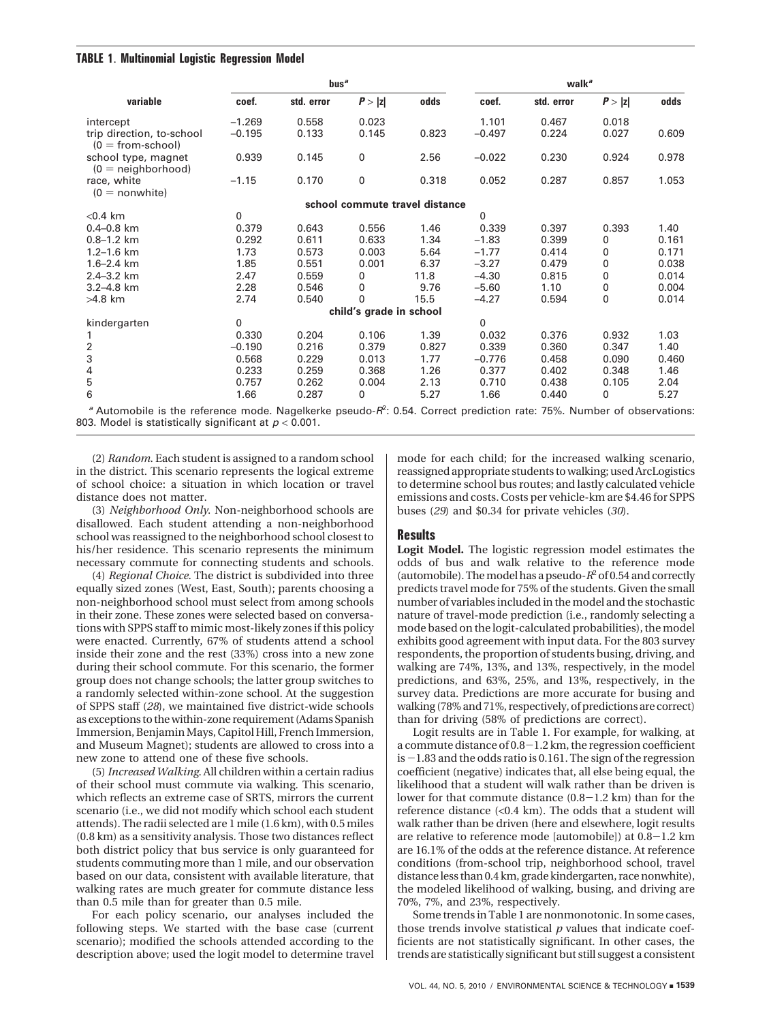#### **TABLE 1**. **Multinomial Logistic Regression Model**

| bus <sup>a</sup>                                   |            |             |              | walk <sup>a</sup>                               |            |             |                   |
|----------------------------------------------------|------------|-------------|--------------|-------------------------------------------------|------------|-------------|-------------------|
| coef.                                              | std. error | P >  z      | odds         | coef.                                           | std. error | P >  z      | odds              |
| $-1.269$                                           | 0.558      | 0.023       |              | 1.101                                           | 0.467      | 0.018       |                   |
| $-0.195$                                           | 0.133      | 0.145       | 0.823        | $-0.497$                                        | 0.224      | 0.027       | 0.609             |
| 0.939                                              | 0.145      | $\mathbf 0$ | 2.56         | $-0.022$                                        | 0.230      | 0.924       | 0.978             |
| $-1.15$                                            | 0.170      | 0           | 0.318        | 0.052                                           | 0.287      | 0.857       | 1.053             |
| $(0 = nonwhite)$<br>school commute travel distance |            |             |              |                                                 |            |             |                   |
| $\Omega$                                           |            |             |              | 0                                               |            |             |                   |
| 0.379                                              | 0.643      | 0.556       | 1.46         | 0.339                                           | 0.397      | 0.393       | 1.40              |
| 0.292                                              | 0.611      | 0.633       | 1.34         | $-1.83$                                         | 0.399      | 0           | 0.161             |
| 1.73                                               | 0.573      | 0.003       | 5.64         | $-1.77$                                         | 0.414      | 0           | 0.171             |
| 1.85                                               | 0.551      | 0.001       | 6.37         | $-3.27$                                         | 0.479      | 0           | 0.038             |
| 2.47                                               | 0.559      | 0           | 11.8         | $-4.30$                                         | 0.815      | 0           | 0.014             |
| 2.28                                               | 0.546      | 0           | 9.76         | $-5.60$                                         | 1.10       | 0           | 0.004             |
| 2.74                                               | 0.540      | $\Omega$    | 15.5         | $-4.27$                                         | 0.594      | $\mathbf 0$ | 0.014             |
| child's grade in school                            |            |             |              |                                                 |            |             |                   |
| 0                                                  |            |             |              | 0                                               |            |             |                   |
| 0.330                                              | 0.204      | 0.106       | 1.39         | 0.032                                           | 0.376      | 0.932       | 1.03              |
| $-0.190$                                           | 0.216      | 0.379       | 0.827        | 0.339                                           | 0.360      | 0.347       | 1.40              |
| 0.568                                              | 0.229      | 0.013       | 1.77         | $-0.776$                                        | 0.458      | 0.090       | 0.460             |
| 0.233                                              | 0.259      | 0.368       | 1.26         | 0.377                                           | 0.402      | 0.348       | 1.46              |
| 0.757                                              | 0.262      | 0.004       | 2.13         | 0.710                                           | 0.438      | 0.105       | 2.04              |
| 1.66                                               | 0.287      | 0           | 5.27         | 1.66                                            | 0.440      | 0           | 5.27              |
|                                                    |            | .<br>.      | $\mathbf{r}$ | $\mathbb{R}^2$ $\wedge$ $\mathbb{R}^2$ $\wedge$ | $\cdots$   |             | $-0.01$<br>$\sim$ |

*<sup>a</sup>* Automobile is the reference mode. Nagelkerke pseudo-*R*2: 0.54. Correct prediction rate: 75%. Number of observations: 803. Model is statistically significant at *p* < 0.001.

(2) *Random*. Each student is assigned to a random school in the district. This scenario represents the logical extreme of school choice: a situation in which location or travel distance does not matter.

(3) *Neighborhood Only*. Non-neighborhood schools are disallowed. Each student attending a non-neighborhood school was reassigned to the neighborhood school closest to his/her residence. This scenario represents the minimum necessary commute for connecting students and schools.

(4) *Regional Choice*. The district is subdivided into three equally sized zones (West, East, South); parents choosing a non-neighborhood school must select from among schools in their zone. These zones were selected based on conversations with SPPS staff to mimic most-likely zones if this policy were enacted. Currently, 67% of students attend a school inside their zone and the rest (33%) cross into a new zone during their school commute. For this scenario, the former group does not change schools; the latter group switches to a randomly selected within-zone school. At the suggestion of SPPS staff (*28*), we maintained five district-wide schools as exceptions to the within-zone requirement (Adams Spanish Immersion, Benjamin Mays, Capitol Hill, French Immersion, and Museum Magnet); students are allowed to cross into a new zone to attend one of these five schools.

(5) *Increased Walking*. All children within a certain radius of their school must commute via walking. This scenario, which reflects an extreme case of SRTS, mirrors the current scenario (i.e., we did not modify which school each student attends). The radii selected are 1 mile (1.6 km), with 0.5 miles (0.8 km) as a sensitivity analysis. Those two distances reflect both district policy that bus service is only guaranteed for students commuting more than 1 mile, and our observation based on our data, consistent with available literature, that walking rates are much greater for commute distance less than 0.5 mile than for greater than 0.5 mile.

For each policy scenario, our analyses included the following steps. We started with the base case (current scenario); modified the schools attended according to the description above; used the logit model to determine travel

mode for each child; for the increased walking scenario, reassigned appropriate students to walking; used ArcLogistics to determine school bus routes; and lastly calculated vehicle emissions and costs. Costs per vehicle-km are \$4.46 for SPPS buses (*29*) and \$0.34 for private vehicles (*30*).

#### **Results**

**Logit Model.** The logistic regression model estimates the odds of bus and walk relative to the reference mode (automobile). The model has a pseudo- $R^2$  of 0.54 and correctly predicts travel mode for 75% of the students. Given the small number of variables included in the model and the stochastic nature of travel-mode prediction (i.e., randomly selecting a mode based on the logit-calculated probabilities), the model exhibits good agreement with input data. For the 803 survey respondents, the proportion of students busing, driving, and walking are 74%, 13%, and 13%, respectively, in the model predictions, and 63%, 25%, and 13%, respectively, in the survey data. Predictions are more accurate for busing and walking (78% and 71%, respectively, of predictions are correct) than for driving (58% of predictions are correct).

Logit results are in Table 1. For example, for walking, at a commute distance of 0.8-1.2 km, the regression coefficient  $is -1.83$  and the odds ratio is 0.161. The sign of the regression coefficient (negative) indicates that, all else being equal, the likelihood that a student will walk rather than be driven is lower for that commute distance (0.8-1.2 km) than for the reference distance (<0.4 km). The odds that a student will walk rather than be driven (here and elsewhere, logit results are relative to reference mode [automobile]) at 0.8-1.2 km are 16.1% of the odds at the reference distance. At reference conditions (from-school trip, neighborhood school, travel distance less than 0.4 km, grade kindergarten, race nonwhite), the modeled likelihood of walking, busing, and driving are 70%, 7%, and 23%, respectively.

Some trends in Table 1 are nonmonotonic. In some cases, those trends involve statistical *p* values that indicate coefficients are not statistically significant. In other cases, the trends are statistically significant but still suggest a consistent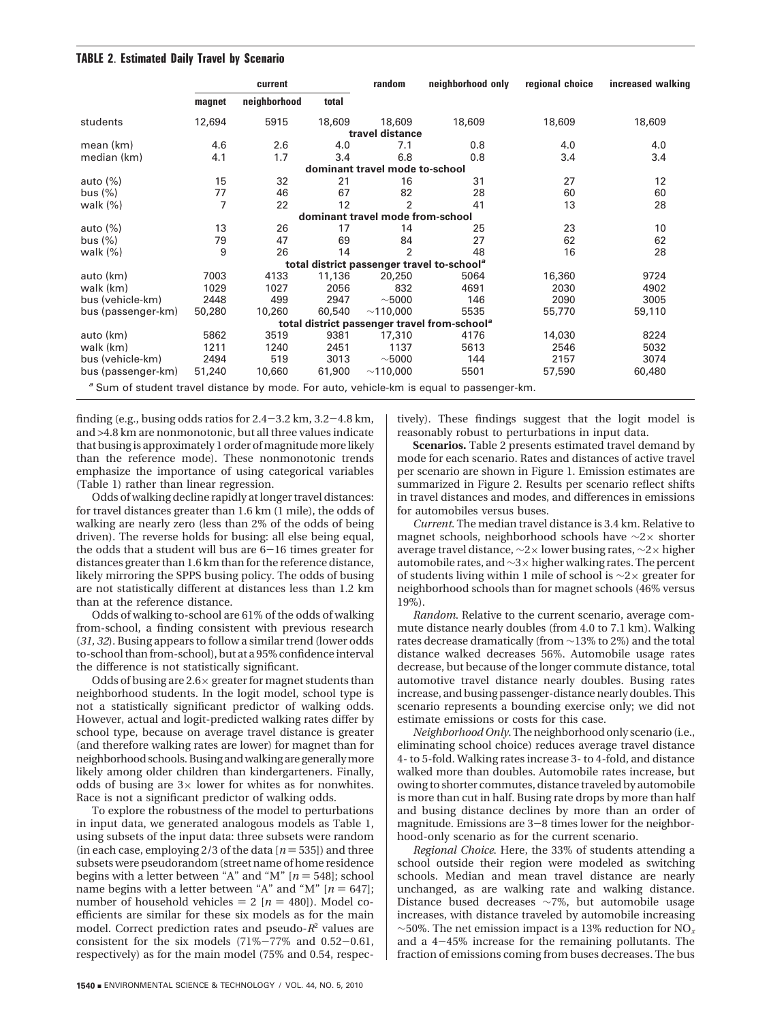|                                                                                                     | current |              |        | random                           | neighborhood only                                        | regional choice | increased walking |  |
|-----------------------------------------------------------------------------------------------------|---------|--------------|--------|----------------------------------|----------------------------------------------------------|-----------------|-------------------|--|
|                                                                                                     | magnet  | neighborhood | total  |                                  |                                                          |                 |                   |  |
| students                                                                                            | 12,694  | 5915         | 18,609 | 18,609                           | 18,609                                                   | 18,609          | 18,609            |  |
|                                                                                                     |         |              |        | travel distance                  |                                                          |                 |                   |  |
| mean (km)                                                                                           | 4.6     | 2.6          | 4.0    | 7.1                              | 0.8                                                      | 4.0             | 4.0               |  |
| median (km)                                                                                         | 4.1     | 1.7          | 3.4    | 6.8                              | 0.8                                                      | 3.4             | 3.4               |  |
|                                                                                                     |         |              |        | dominant travel mode to-school   |                                                          |                 |                   |  |
| auto $(\%)$                                                                                         | 15      | 32           | 21     | 16                               | 31                                                       | 27              | 12                |  |
| bus $(\%)$                                                                                          | 77      | 46           | 67     | 82                               | 28                                                       | 60              | 60                |  |
| walk $(%)$                                                                                          | 7       | 22           | 12     | 2                                | 41                                                       | 13              | 28                |  |
|                                                                                                     |         |              |        | dominant travel mode from-school |                                                          |                 |                   |  |
| auto $(\%)$                                                                                         | 13      | 26           | 17     | 14                               | 25                                                       | 23              | 10                |  |
| bus $(\%)$                                                                                          | 79      | 47           | 69     | 84                               | 27                                                       | 62              | 62                |  |
| walk $(%)$                                                                                          | 9       | 26           | 14     | 2                                | 48                                                       | 16              | 28                |  |
|                                                                                                     |         |              |        |                                  | total district passenger travel to-school <sup>a</sup>   |                 |                   |  |
| auto (km)                                                                                           | 7003    | 4133         | 11,136 | 20,250                           | 5064                                                     | 16,360          | 9724              |  |
| walk (km)                                                                                           | 1029    | 1027         | 2056   | 832                              | 4691                                                     | 2030            | 4902              |  |
| bus (vehicle-km)                                                                                    | 2448    | 499          | 2947   | $\sim$ 5000                      | 146                                                      | 2090            | 3005              |  |
| bus (passenger-km)                                                                                  | 50,280  | 10,260       | 60,540 | ~110,000                         | 5535                                                     | 55,770          | 59,110            |  |
|                                                                                                     |         |              |        |                                  | total district passenger travel from-school <sup>a</sup> |                 |                   |  |
| auto (km)                                                                                           | 5862    | 3519         | 9381   | 17,310                           | 4176                                                     | 14,030          | 8224              |  |
| walk (km)                                                                                           | 1211    | 1240         | 2451   | 1137                             | 5613                                                     | 2546            | 5032              |  |
| bus (vehicle-km)                                                                                    | 2494    | 519          | 3013   | $\sim$ 5000                      | 144                                                      | 2157            | 3074              |  |
| bus (passenger-km)                                                                                  | 51,240  | 10,660       | 61,900 | ~110,000                         | 5501                                                     | 57,590          | 60,480            |  |
| <sup>a</sup> Sum of student travel distance by mode. For auto, vehicle-km is equal to passenger-km. |         |              |        |                                  |                                                          |                 |                   |  |

finding (e.g., busing odds ratios for 2.4-3.2 km, 3.2-4.8 km, and >4.8 km are nonmonotonic, but all three values indicate that busing is approximately 1 order of magnitude more likely than the reference mode). These nonmonotonic trends emphasize the importance of using categorical variables (Table 1) rather than linear regression.

Odds of walking decline rapidly at longer travel distances: for travel distances greater than 1.6 km (1 mile), the odds of walking are nearly zero (less than 2% of the odds of being driven). The reverse holds for busing: all else being equal, the odds that a student will bus are 6-16 times greater for distances greater than 1.6 km than for the reference distance, likely mirroring the SPPS busing policy. The odds of busing are not statistically different at distances less than 1.2 km than at the reference distance.

Odds of walking to-school are 61% of the odds of walking from-school, a finding consistent with previous research (*31, 32*). Busing appears to follow a similar trend (lower odds to-school than from-school), but at a 95% confidence interval the difference is not statistically significant.

Odds of busing are  $2.6 \times$  greater for magnet students than neighborhood students. In the logit model, school type is not a statistically significant predictor of walking odds. However, actual and logit-predicted walking rates differ by school type, because on average travel distance is greater (and therefore walking rates are lower) for magnet than for neighborhood schools. Busing and walking are generally more likely among older children than kindergarteners. Finally, odds of busing are  $3\times$  lower for whites as for nonwhites. Race is not a significant predictor of walking odds.

To explore the robustness of the model to perturbations in input data, we generated analogous models as Table 1, using subsets of the input data: three subsets were random (in each case, employing 2/3 of the data  $[n = 535]$ ) and three subsets were pseudorandom (street name of home residence begins with a letter between "A" and "M"  $[n = 548]$ ; school name begins with a letter between "A" and "M"  $[n = 647]$ ; number of household vehicles  $= 2$  [ $n = 480$ ]). Model coefficients are similar for these six models as for the main model. Correct prediction rates and pseudo-*R*<sup>2</sup> values are consistent for the six models (71%-77% and 0.52-0.61, respectively) as for the main model (75% and 0.54, respectively). These findings suggest that the logit model is reasonably robust to perturbations in input data.

**Scenarios.** Table 2 presents estimated travel demand by mode for each scenario. Rates and distances of active travel per scenario are shown in Figure 1. Emission estimates are summarized in Figure 2. Results per scenario reflect shifts in travel distances and modes, and differences in emissions for automobiles versus buses.

*Current*. The median travel distance is 3.4 km. Relative to magnet schools, neighborhood schools have ∼2× shorter average travel distance, ∼2× lower busing rates, ∼2× higher automobile rates, and ∼3× higher walking rates. The percent of students living within 1 mile of school is ∼2× greater for neighborhood schools than for magnet schools (46% versus 19%).

*Random*. Relative to the current scenario, average commute distance nearly doubles (from 4.0 to 7.1 km). Walking rates decrease dramatically (from ∼13% to 2%) and the total distance walked decreases 56%. Automobile usage rates decrease, but because of the longer commute distance, total automotive travel distance nearly doubles. Busing rates increase, and busing passenger-distance nearly doubles. This scenario represents a bounding exercise only; we did not estimate emissions or costs for this case.

*Neighborhood Only*. The neighborhood only scenario (i.e., eliminating school choice) reduces average travel distance 4- to 5-fold. Walking rates increase 3- to 4-fold, and distance walked more than doubles. Automobile rates increase, but owing to shorter commutes, distance traveled by automobile is more than cut in half. Busing rate drops by more than half and busing distance declines by more than an order of magnitude. Emissions are 3-8 times lower for the neighborhood-only scenario as for the current scenario.

*Regional Choice*. Here, the 33% of students attending a school outside their region were modeled as switching schools. Median and mean travel distance are nearly unchanged, as are walking rate and walking distance. Distance bused decreases ∼7%, but automobile usage increases, with distance traveled by automobile increasing ∼50%. The net emission impact is a 13% reduction for NO*<sup>x</sup>* and a 4-45% increase for the remaining pollutants. The fraction of emissions coming from buses decreases. The bus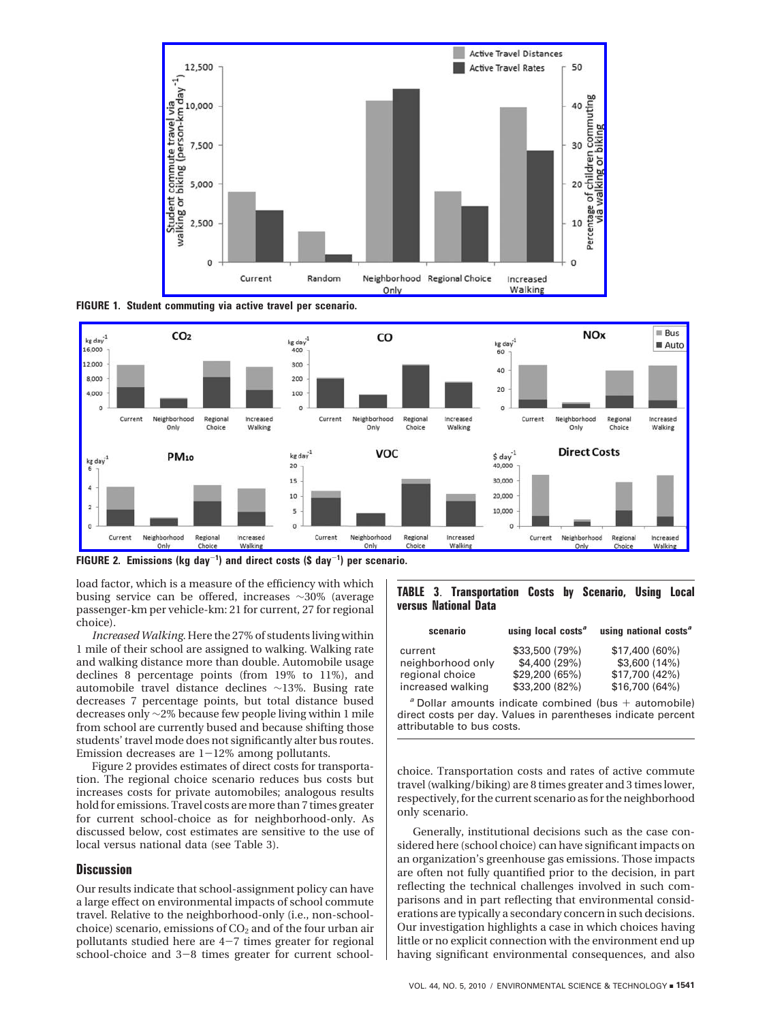

**FIGURE 1. Student commuting via active travel per scenario.**



**FIGURE 2. Emissions (kg day**-**<sup>1</sup> ) and direct costs (\$ day**-**<sup>1</sup> ) per scenario.**

load factor, which is a measure of the efficiency with which busing service can be offered, increases ∼30% (average passenger-km per vehicle-km: 21 for current, 27 for regional choice).

*Increased Walking*. Here the 27% of students living within 1 mile of their school are assigned to walking. Walking rate and walking distance more than double. Automobile usage declines 8 percentage points (from 19% to 11%), and automobile travel distance declines ∼13%. Busing rate decreases 7 percentage points, but total distance bused decreases only ∼2% because few people living within 1 mile from school are currently bused and because shifting those students' travel mode does not significantly alter bus routes. Emission decreases are  $1-12\%$  among pollutants.

Figure 2 provides estimates of direct costs for transportation. The regional choice scenario reduces bus costs but increases costs for private automobiles; analogous results hold for emissions. Travel costs are more than 7 times greater for current school-choice as for neighborhood-only. As discussed below, cost estimates are sensitive to the use of local versus national data (see Table 3).

### **Discussion**

Our results indicate that school-assignment policy can have a large effect on environmental impacts of school commute travel. Relative to the neighborhood-only (i.e., non-schoolchoice) scenario, emissions of  $CO<sub>2</sub>$  and of the four urban air pollutants studied here are 4-7 times greater for regional school-choice and 3-8 times greater for current school-

### **TABLE 3**. **Transportation Costs by Scenario, Using Local versus National Data**

| scenario                                                             | using local costs <sup>a</sup>                                      | using national costs <sup>a</sup>                                  |
|----------------------------------------------------------------------|---------------------------------------------------------------------|--------------------------------------------------------------------|
| current<br>neighborhood only<br>regional choice<br>increased walking | \$33,500 (79%)<br>\$4,400 (29%)<br>\$29,200 (65%)<br>\$33,200 (82%) | \$17,400 (60%)<br>\$3,600(14%)<br>\$17,700 (42%)<br>\$16,700 (64%) |
|                                                                      |                                                                     |                                                                    |

*<sup>a</sup>* Dollar amounts indicate combined (bus + automobile) direct costs per day. Values in parentheses indicate percent attributable to bus costs.

choice. Transportation costs and rates of active commute travel (walking/biking) are 8 times greater and 3 times lower, respectively, for the current scenario as for the neighborhood only scenario.

Generally, institutional decisions such as the case considered here (school choice) can have significant impacts on an organization's greenhouse gas emissions. Those impacts are often not fully quantified prior to the decision, in part reflecting the technical challenges involved in such comparisons and in part reflecting that environmental considerations are typically a secondary concern in such decisions. Our investigation highlights a case in which choices having little or no explicit connection with the environment end up having significant environmental consequences, and also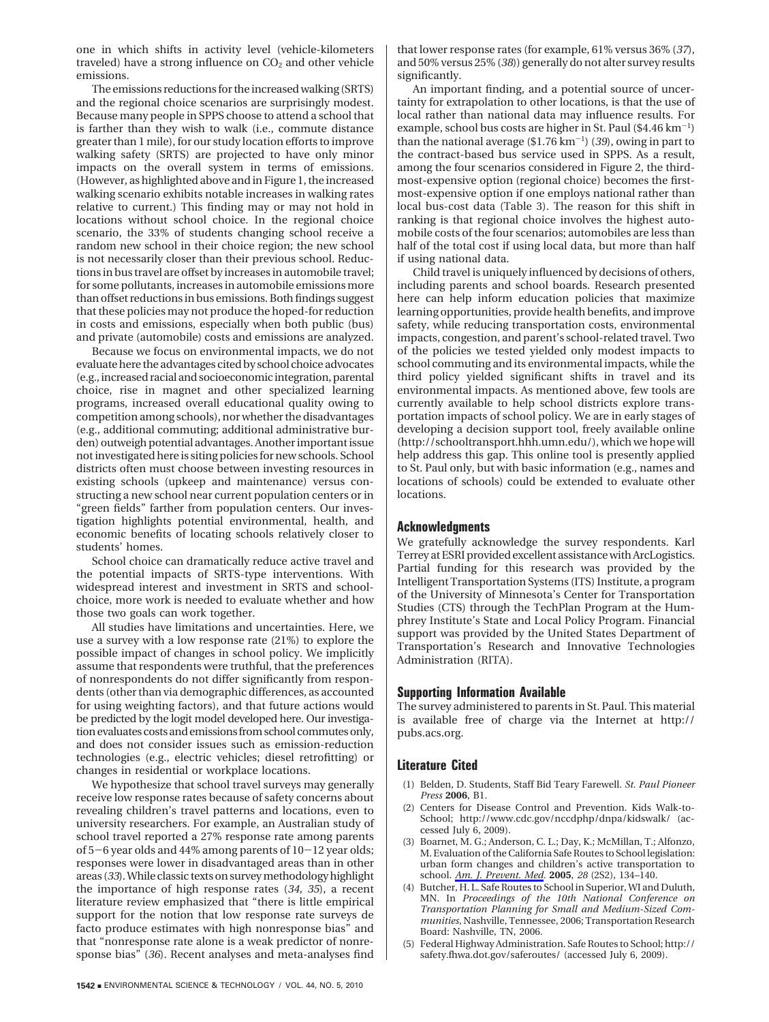one in which shifts in activity level (vehicle-kilometers traveled) have a strong influence on  $CO<sub>2</sub>$  and other vehicle emissions.

The emissions reductions for the increased walking (SRTS) and the regional choice scenarios are surprisingly modest. Because many people in SPPS choose to attend a school that is farther than they wish to walk (i.e., commute distance greater than 1 mile), for our study location efforts to improve walking safety (SRTS) are projected to have only minor impacts on the overall system in terms of emissions. (However, as highlighted above and in Figure 1, the increased walking scenario exhibits notable increases in walking rates relative to current.) This finding may or may not hold in locations without school choice. In the regional choice scenario, the 33% of students changing school receive a random new school in their choice region; the new school is not necessarily closer than their previous school. Reductions in bus travel are offset by increases in automobile travel; for some pollutants, increases in automobile emissions more than offset reductions in bus emissions. Both findings suggest that these policies may not produce the hoped-for reduction in costs and emissions, especially when both public (bus) and private (automobile) costs and emissions are analyzed.

Because we focus on environmental impacts, we do not evaluate here the advantages cited by school choice advocates (e.g., increased racial and socioeconomic integration, parental choice, rise in magnet and other specialized learning programs, increased overall educational quality owing to competition among schools), nor whether the disadvantages (e.g., additional commuting; additional administrative burden) outweigh potential advantages. Another important issue not investigated here is siting policies for new schools. School districts often must choose between investing resources in existing schools (upkeep and maintenance) versus constructing a new school near current population centers or in "green fields" farther from population centers. Our investigation highlights potential environmental, health, and economic benefits of locating schools relatively closer to students' homes.

School choice can dramatically reduce active travel and the potential impacts of SRTS-type interventions. With widespread interest and investment in SRTS and schoolchoice, more work is needed to evaluate whether and how those two goals can work together.

All studies have limitations and uncertainties. Here, we use a survey with a low response rate (21%) to explore the possible impact of changes in school policy. We implicitly assume that respondents were truthful, that the preferences of nonrespondents do not differ significantly from respondents (other than via demographic differences, as accounted for using weighting factors), and that future actions would be predicted by the logit model developed here. Our investigation evaluates costs and emissions from school commutes only, and does not consider issues such as emission-reduction technologies (e.g., electric vehicles; diesel retrofitting) or changes in residential or workplace locations.

We hypothesize that school travel surveys may generally receive low response rates because of safety concerns about revealing children's travel patterns and locations, even to university researchers. For example, an Australian study of school travel reported a 27% response rate among parents of  $5-6$  year olds and  $44\%$  among parents of  $10-12$  year olds; responses were lower in disadvantaged areas than in other areas (*33*). While classic texts on survey methodology highlight the importance of high response rates (*34, 35*), a recent literature review emphasized that "there is little empirical support for the notion that low response rate surveys de facto produce estimates with high nonresponse bias" and that "nonresponse rate alone is a weak predictor of nonresponse bias" (*36*). Recent analyses and meta-analyses find

1542 **BENVIRONMENTAL SCIENCE & TECHNOLOGY / VOL. 44, NO. 5, 2010** 

that lower response rates (for example, 61% versus 36% (*37*), and 50% versus 25% (*38*)) generally do not alter survey results significantly.

An important finding, and a potential source of uncertainty for extrapolation to other locations, is that the use of local rather than national data may influence results. For example, school bus costs are higher in St. Paul (\$4.46 km<sup>-1</sup>) than the national average (\$1.76 km-<sup>1</sup> ) (*39*), owing in part to the contract-based bus service used in SPPS. As a result, among the four scenarios considered in Figure 2, the thirdmost-expensive option (regional choice) becomes the firstmost-expensive option if one employs national rather than local bus-cost data (Table 3). The reason for this shift in ranking is that regional choice involves the highest automobile costs of the four scenarios; automobiles are less than half of the total cost if using local data, but more than half if using national data.

Child travel is uniquely influenced by decisions of others, including parents and school boards. Research presented here can help inform education policies that maximize learning opportunities, provide health benefits, and improve safety, while reducing transportation costs, environmental impacts, congestion, and parent's school-related travel. Two of the policies we tested yielded only modest impacts to school commuting and its environmental impacts, while the third policy yielded significant shifts in travel and its environmental impacts. As mentioned above, few tools are currently available to help school districts explore transportation impacts of school policy. We are in early stages of developing a decision support tool, freely available online (http://schooltransport.hhh.umn.edu/), which we hope will help address this gap. This online tool is presently applied to St. Paul only, but with basic information (e.g., names and locations of schools) could be extended to evaluate other locations.

#### **Acknowledgments**

We gratefully acknowledge the survey respondents. Karl Terrey at ESRI provided excellent assistance with ArcLogistics. Partial funding for this research was provided by the Intelligent Transportation Systems (ITS) Institute, a program of the University of Minnesota's Center for Transportation Studies (CTS) through the TechPlan Program at the Humphrey Institute's State and Local Policy Program. Financial support was provided by the United States Department of Transportation's Research and Innovative Technologies Administration (RITA).

### **Supporting Information Available**

The survey administered to parents in St. Paul. This material is available free of charge via the Internet at http:// pubs.acs.org.

## **Literature Cited**

- (1) Belden, D. Students, Staff Bid Teary Farewell. *St. Paul Pioneer Press* **2006**, B1.
- (2) Centers for Disease Control and Prevention. Kids Walk-to-School; http://www.cdc.gov/nccdphp/dnpa/kidswalk/ (accessed July 6, 2009).
- (3) Boarnet, M. G.; Anderson, C. L.; Day, K.; McMillan, T.; Alfonzo, M. Evaluation of the California Safe Routes to School legislation: urban form changes and children's active transportation to school. *Am. J. Prevent. Med.* **2005**, *28* (2S2), 134–140.
- (4) Butcher, H. L. Safe Routes to School in Superior, WI and Duluth, MN. In *Proceedings of the 10th National Conference on Transportation Planning for Small and Medium-Sized Communities,* Nashville, Tennessee, 2006; Transportation Research Board: Nashville, TN, 2006.
- (5) Federal Highway Administration. Safe Routes to School; http:// safety.fhwa.dot.gov/saferoutes/ (accessed July 6, 2009).